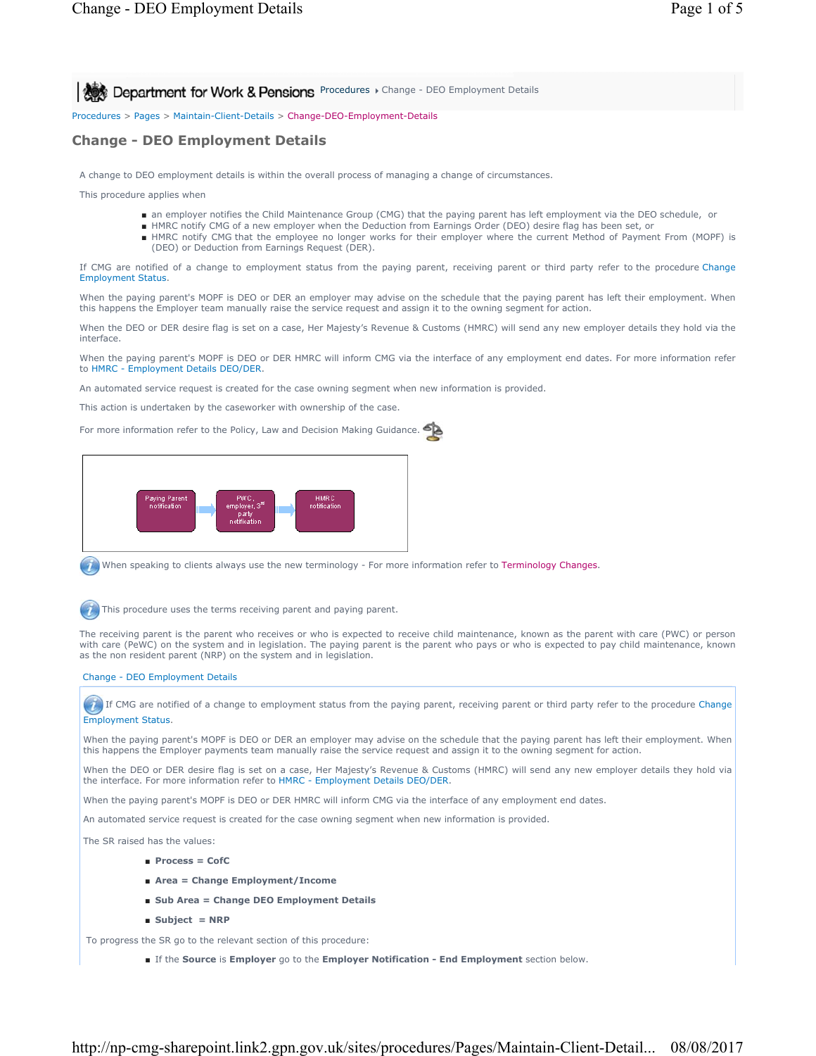**Procedures > Change - DEO Employment Details** 

Procedures > Pages > Maintain-Client-Details > Change-DEO-Employment-Details

## **Change - DEO Employment Details**

A change to DEO employment details is within the overall process of managing a change of circumstances.

This procedure applies when

- an employer notifies the Child Maintenance Group (CMG) that the paying parent has left employment via the DEO schedule, or
- HMRC notify CMG of a new employer when the Deduction from Earnings Order (DEO) desire flag has been set, or
- HMRC notify CMG that the employee no longer works for their employer where the current Method of Payment From (MOPF) is (DEO) or Deduction from Earnings Request (DER).

If CMG are notified of a change to employment status from the paying parent, receiving parent or third party refer to the procedure Change Employment Status.

When the paying parent's MOPF is DEO or DER an employer may advise on the schedule that the paying parent has left their employment. When this happens the Employer team manually raise the service request and assign it to the owning segment for action.

When the DEO or DER desire flag is set on a case, Her Majesty's Revenue & Customs (HMRC) will send any new employer details they hold via the interface.

When the paying parent's MOPF is DEO or DER HMRC will inform CMG via the interface of any employment end dates. For more information refer to HMRC - Employment Details DEO/DER.

An automated service request is created for the case owning segment when new information is provided.

This action is undertaken by the caseworker with ownership of the case.

For more information refer to the Policy, Law and Decision Making Guidance.



When speaking to clients always use the new terminology - For more information refer to Terminology Changes.

This procedure uses the terms receiving parent and paying parent.

The receiving parent is the parent who receives or who is expected to receive child maintenance, known as the parent with care (PWC) or person with care (PeWC) on the system and in legislation. The paying parent is the parent who pays or who is expected to pay child maintenance, known as the non resident parent (NRP) on the system and in legislation.

### Change - DEO Employment Details

If CMG are notified of a change to employment status from the paying parent, receiving parent or third party refer to the procedure Change Employment Status.

When the paying parent's MOPF is DEO or DER an employer may advise on the schedule that the paying parent has left their employment. When this happens the Employer payments team manually raise the service request and assign it to the owning segment for action.

When the DEO or DER desire flag is set on a case, Her Majesty's Revenue & Customs (HMRC) will send any new employer details they hold via the interface. For more information refer to HMRC - Employment Details DEO/DER.

When the paying parent's MOPF is DEO or DER HMRC will inform CMG via the interface of any employment end dates.

An automated service request is created for the case owning segment when new information is provided.

The SR raised has the values:

- **Process = CofC**
- **Area = Change Employment/Income**
- **Sub Area = Change DEO Employment Details**
- **Subject = NRP**

To progress the SR go to the relevant section of this procedure:

■ If the **Source** is **Employer** go to the **Employer Notification - End Employment** section below.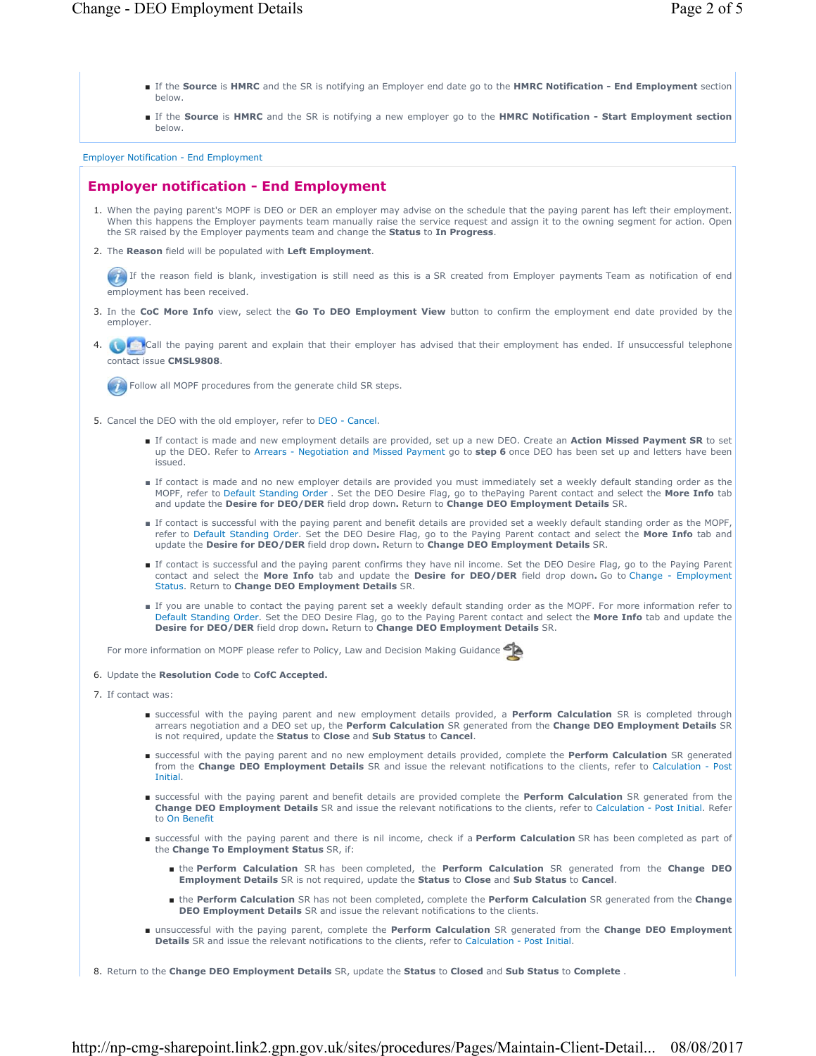- If the Source is HMRC and the SR is notifying an Employer end date go to the HMRC Notification End Employment section below.
- If the Source is HMRC and the SR is notifying a new employer go to the HMRC Notification Start Employment section below.

Employer Notification - End Employment

# **Employer notification - End Employment**

- 1. When the paying parent's MOPF is DEO or DER an employer may advise on the schedule that the paying parent has left their employment. When this happens the Employer payments team manually raise the service request and assign it to the owning segment for action. Open the SR raised by the Employer payments team and change the **Status** to **In Progress**.
- 2. The Reason field will be populated with Left Employment.

If the reason field is blank, investigation is still need as this is a SR created from Employer payments Team as notification of end employment has been received.

- In the **CoC More Info** view, select the **Go To DEO Employment View** button to confirm the employment end date provided by the 3. employer.
- 4. Call the paying parent and explain that their employer has advised that their employment has ended. If unsuccessful telephone contact issue **CMSL9808**.

Follow all MOPF procedures from the generate child SR steps.

- 5. Cancel the DEO with the old employer, refer to DEO Cancel.
	- If contact is made and new employment details are provided, set up a new DEO. Create an Action Missed Payment SR to set up the DEO. Refer to Arrears - Negotiation and Missed Payment go to **step 6** once DEO has been set up and letters have been issued.
	- If contact is made and no new employer details are provided you must immediately set a weekly default standing order as the MOPF, refer to Default Standing Order . Set the DEO Desire Flag, go to thePaying Parent contact and select the **More Info** tab and update the **Desire for DEO/DER** field drop down**.** Return to **Change DEO Employment Details** SR.
	- If contact is successful with the paying parent and benefit details are provided set a weekly default standing order as the MOPF, refer to Default Standing Order. Set the DEO Desire Flag, go to the Paying Parent contact and select the **More Info** tab and update the **Desire for DEO/DER** field drop down**.** Return to **Change DEO Employment Details** SR.
	- If contact is successful and the paying parent confirms they have nil income. Set the DEO Desire Flag, go to the Paying Parent contact and select the **More Info** tab and update the **Desire for DEO/DER** field drop down**.** Go to Change - Employment Status. Return to **Change DEO Employment Details** SR.
	- If you are unable to contact the paying parent set a weekly default standing order as the MOPF. For more information refer to Default Standing Order. Set the DEO Desire Flag, go to the Paying Parent contact and select the **More Info** tab and update the **Desire for DEO/DER** field drop down**.** Return to **Change DEO Employment Details** SR.

For more information on MOPF please refer to Policy, Law and Decision Making Guidance

- 6. Update the **Resolution Code** to **CofC Accepted.**
- 7. If contact was:
	- successful with the paying parent and new employment details provided, a Perform Calculation SR is completed through arrears negotiation and a DEO set up, the **Perform Calculation** SR generated from the **Change DEO Employment Details** SR is not required, update the **Status** to **Close** and **Sub Status** to **Cancel**.
	- successful with the paying parent and no new employment details provided, complete the Perform Calculation SR generated from the **Change DEO Employment Details** SR and issue the relevant notifications to the clients, refer to Calculation - Post Initial.
	- successful with the paying parent and benefit details are provided complete the Perform Calculation SR generated from the **Change DEO Employment Details** SR and issue the relevant notifications to the clients, refer to Calculation - Post Initial. Refer to On Benefit
	- successful with the paying parent and there is nil income, check if a Perform Calculation SR has been completed as part of the **Change To Employment Status** SR, if:
		- the Perform Calculation SR has been completed, the Perform Calculation SR generated from the Change DEO **Employment Details** SR is not required, update the **Status** to **Close** and **Sub Status** to **Cancel**.
		- the Perform Calculation SR has not been completed, complete the Perform Calculation SR generated from the Change **DEO Employment Details** SR and issue the relevant notifications to the clients.
	- unsuccessful with the paying parent, complete the Perform Calculation SR generated from the Change DEO Employment **Details** SR and issue the relevant notifications to the clients, refer to Calculation - Post Initial.
- 8. Return to the **Change DEO Employment Details** SR, update the **Status** to **Closed** and **Sub Status** to **Complete** .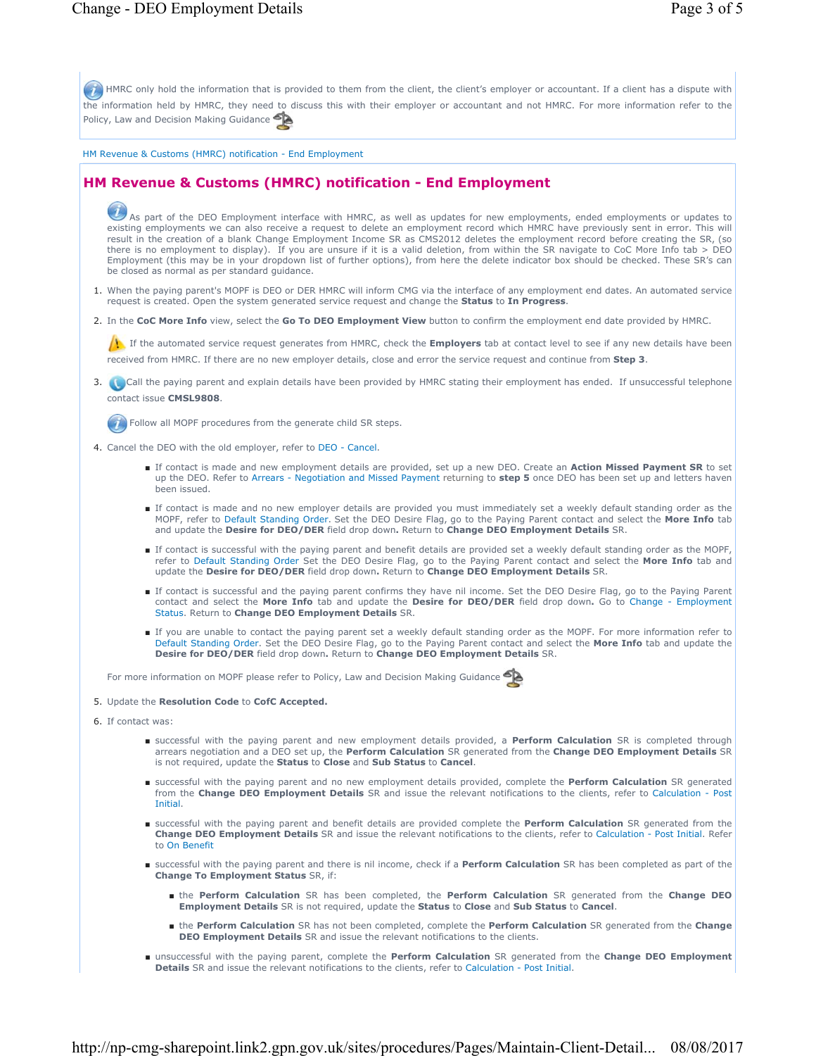HMRC only hold the information that is provided to them from the client, the client's employer or accountant. If a client has a dispute with the information held by HMRC, they need to discuss this with their employer or accountant and not HMRC. For more information refer to the Policy, Law and Decision Making Guidance HM Revenue & Customs (HMRC) notification - End Employment **HM Revenue & Customs (HMRC) notification - End Employment**  As part of the DEO Employment interface with HMRC, as well as updates for new employments, ended employments or updates to existing employments we can also receive a request to delete an employment record which HMRC have previously sent in error. This will result in the creation of a blank Change Employment Income SR as CMS2012 deletes the employment record before creating the SR, (so there is no employment to display). If you are unsure if it is a valid deletion, from within the SR navigate to CoC More Info tab > DEO Employment (this may be in your dropdown list of further options), from here the delete indicator box should be checked. These SR's can be closed as normal as per standard guidance. 1. When the paying parent's MOPF is DEO or DER HMRC will inform CMG via the interface of any employment end dates. An automated service request is created. Open the system generated service request and change the **Status** to **In Progress**. 2. In the **CoC More Info** view, select the **Go To DEO Employment View** button to confirm the employment end date provided by HMRC. If the automated service request generates from HMRC, check the **Employers** tab at contact level to see if any new details have been received from HMRC. If there are no new employer details, close and error the service request and continue from **Step 3**. 3. **Call the paying parent and explain details have been provided by HMRC stating their employment has ended. If unsuccessful telephone** contact issue **CMSL9808**. Follow all MOPF procedures from the generate child SR steps. 4. Cancel the DEO with the old employer, refer to DEO - Cancel. ■ If contact is made and new employment details are provided, set up a new DEO. Create an Action Missed Payment SR to set up the DEO. Refer to Arrears - Negotiation and Missed Payment returning to **step 5** once DEO has been set up and letters haven been issued. ■ If contact is made and no new employer details are provided you must immediately set a weekly default standing order as the MOPF, refer to Default Standing Order. Set the DEO Desire Flag, go to the Paying Parent contact and select the **More Info** tab<br>and update the **Desire for DEO/DER** field drop down. Return to **Change DEO Employment Details** ■ If contact is successful with the paying parent and benefit details are provided set a weekly default standing order as the MOPF, refer to Default Standing Order Set the DEO Desire Flag, go to the Paying Parent contact and select the **More Info** tab and update the **Desire for DEO/DER** field drop down**.** Return to **Change DEO Employment Details** SR. ■ If contact is successful and the paying parent confirms they have nil income. Set the DEO Desire Flag, go to the Paying Parent contact and select the **More Info** tab and update the **Desire for DEO/DER** field drop down**.** Go to Change - Employment Status. Return to **Change DEO Employment Details** SR. ■ If you are unable to contact the paying parent set a weekly default standing order as the MOPF. For more information refer to Default Standing Order. Set the DEO Desire Flag, go to the Paying Parent contact and select the **More Info** tab and update the<br>**Desire for DEO/DER** field drop down. Return to **Change DEO Employment Details** SR. For more information on MOPF please refer to Policy, Law and Decision Making Guidance 5. Update the **Resolution Code** to **CofC Accepted.** 6. If contact was: ■ successful with the paying parent and new employment details provided, a Perform Calculation SR is completed through arrears negotiation and a DEO set up, the **Perform Calculation** SR generated from the **Change DEO Employment Details** SR is not required, update the **Status** to **Close** and **Sub Status** to **Cancel**. ■ successful with the paying parent and no new employment details provided, complete the **Perform Calculation** SR generated from the **Change DEO Employment Details** SR and issue the relevant notifications to the clients, refer to Calculation - Post Initial. ■ successful with the paying parent and benefit details are provided complete the Perform Calculation SR generated from the **Change DEO Employment Details** SR and issue the relevant notifications to the clients, refer to Calculation - Post Initial. Refer to On Benefit ■ successful with the paying parent and there is nil income, check if a Perform Calculation SR has been completed as part of the **Change To Employment Status** SR, if: ■ the Perform Calculation SR has been completed, the Perform Calculation SR generated from the Change DEO **Employment Details** SR is not required, update the **Status** to **Close** and **Sub Status** to **Cancel**. ■ the Perform Calculation SR has not been completed, complete the Perform Calculation SR generated from the Change

- **DEO Employment Details** SR and issue the relevant notifications to the clients.
- unsuccessful with the paying parent, complete the Perform Calculation SR generated from the Change DEO Employment **Details** SR and issue the relevant notifications to the clients, refer to Calculation - Post Initial.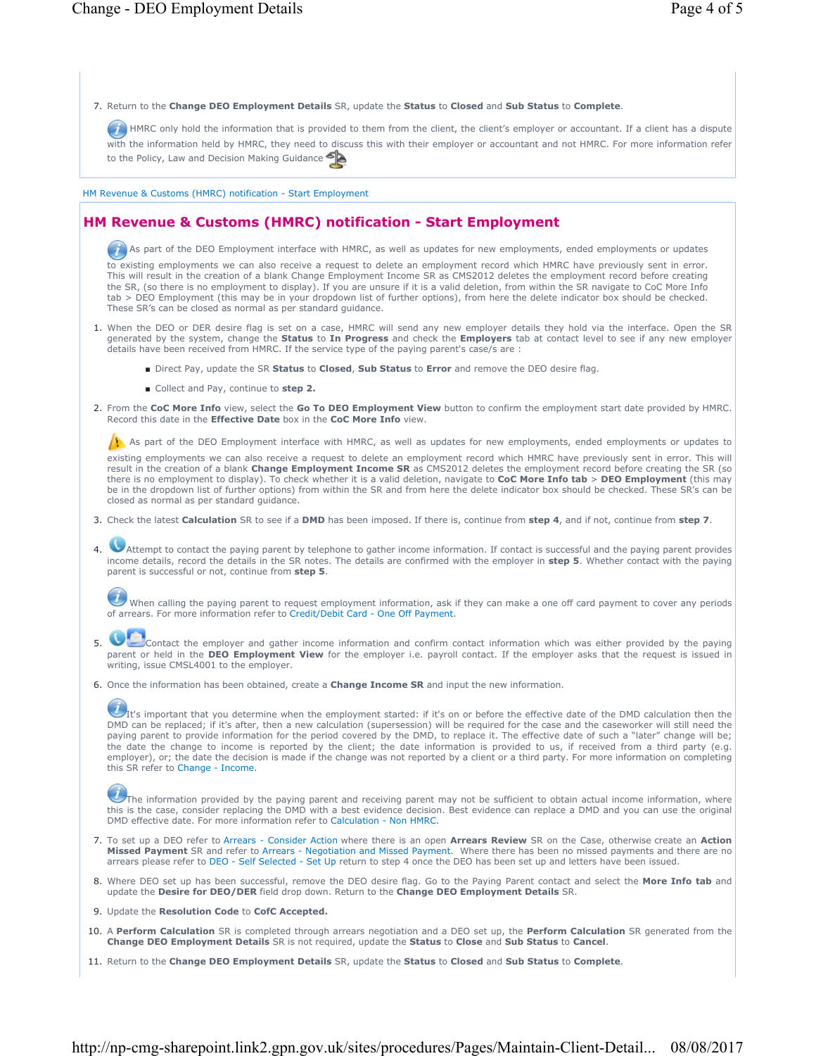7. Return to the **Change DEO Employment Details** SR, update the **Status** to **Closed** and **Sub Status** to **Complete**.

HMRC only hold the information that is provided to them from the client, the client's employer or accountant. If a client has a dispute with the information held by HMRC, they need to discuss this with their employer or accountant and not HMRC. For more information refer to the Policy, Law and Decision Making Guidance

HM Revenue & Customs (HMRC) notification - Start Employment

## **HM Revenue & Customs (HMRC) notification - Start Employment**

As part of the DEO Employment interface with HMRC, as well as updates for new employments, ended employments or updates

to existing employments we can also receive a request to delete an employment record which HMRC have previously sent in error. This will result in the creation of a blank Change Employment Income SR as CMS2012 deletes the employment record before creating the SR, (so there is no employment to display). If you are unsure if it is a valid deletion, from within the SR navigate to CoC More Info tab > DEO Employment (this may be in your dropdown list of further options), from here the delete indicator box should be checked. These SR's can be closed as normal as per standard guidance.

- 1. When the DEO or DER desire flag is set on a case, HMRC will send any new employer details they hold via the interface. Open the SR generated by the system, change the **Status** to **In Progress** and check the **Employers** tab at contact level to see if any new employer details have been received from HMRC. If the service type of the paying parent's case/s are :
	- Direct Pay, update the SR **Status** to **Closed**, **Sub Status** to **Error** and remove the DEO desire flag.
	- Collect and Pay, continue to **step 2.**
- 2. From the CoC More Info view, select the Go To DEO Employment View button to confirm the employment start date provided by HMRC. Record this date in the **Effective Date** box in the **CoC More Info** view.

 $\Lambda$  As part of the DEO Employment interface with HMRC, as well as updates for new employments, ended employments or updates to

existing employments we can also receive a request to delete an employment record which HMRC have previously sent in error. This will result in the creation of a blank **Change Employment Income SR** as CMS2012 deletes the employment record before creating the SR (so there is no employment to display). To check whether it is a valid deletion, navigate to **CoC More Info tab > DEO Employment** (this may<br>be in the dropdown list of further options) from within the SR and from here the delet closed as normal as per standard guidance.

- 3. Check the latest **Calculation** SR to see if a **DMD** has been imposed. If there is, continue from **step 4**, and if not, continue from **step 7**.
- Attempt to contact the paying parent by telephone to gather income information. If contact is successful and the paying parent provides 4. income details, record the details in the SR notes. The details are confirmed with the employer in **step 5**. Whether contact with the paying parent is successful or not, continue from **step 5**.

When calling the paying parent to request employment information, ask if they can make a one off card payment to cover any periods of arrears. For more information refer to Credit/Debit Card - One Off Payment.

 $\bullet$ 5.

Contact the employer and gather income information and confirm contact information which was either provided by the paying parent or held in the **DEO Employment View** for the employer i.e. payroll contact. If the employer asks that the request is issued in writing, issue CMSL4001 to the employer.

6. Once the information has been obtained, create a **Change Income SR** and input the new information.

 $U_{\text{It's important that you determine when the employment started: if it's on or before the effective date of the DMD calculation then the effect of the DMD calculation.}$ DMD can be replaced; if it's after, then a new calculation (supersession) will be required for the case and the caseworker will still need the paying parent to provide information for the period covered by the DMD, to replace it. The effective date of such a "later" change will be; the date the change to income is reported by the client; the date information is provided to us, if received from a third party (e.g. employer), or; the date the decision is made if the change was not reported by a client or a third party. For more information on completing this SR refer to Change - Income.

The information provided by the paying parent and receiving parent may not be sufficient to obtain actual income information, where this is the case, consider replacing the DMD with a best evidence decision. Best evidence can replace a DMD and you can use the original DMD effective date. For more information refer to Calculation - Non HMRC.

- 7. To set up a DEO refer to Arrears Consider Action where there is an open Arrears Review SR on the Case, otherwise create an Action **Missed Payment** SR and refer to Arrears - Negotiation and Missed Payment. Where there has been no missed payments and there are no arrears please refer to DEO - Self Selected - Set Up return to step 4 once the DEO has been set up and letters have been issued.
- Where DEO set up has been successful, remove the DEO desire flag. Go to the Paying Parent contact and select the **More Info tab** and update the **Desire for DEO/DER** field drop down. Return to the **Change DEO Employment Details** SR. 8.
- 9. Update the **Resolution Code** to **CofC Accepted.**
- 10. A Perform Calculation SR is completed through arrears negotiation and a DEO set up, the Perform Calculation SR generated from the **Change DEO Employment Details** SR is not required, update the **Status** to **Close** and **Sub Status** to **Cancel**.
- 11. Return to the **Change DEO Employment Details** SR, update the **Status** to **Closed** and **Sub Status** to **Complete**.